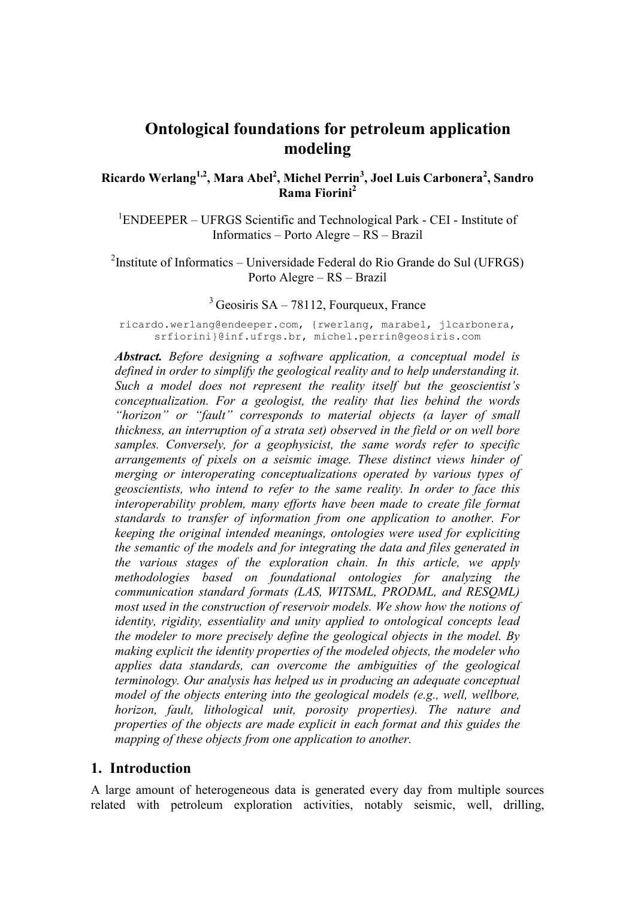# **Ontological foundations for petroleum application modeling**

**Ricardo Werlang1,2, Mara Abel<sup>2</sup> , Michel Perrin<sup>3</sup> , Joel Luis Carbonera<sup>2</sup> , Sandro Rama Fiorini<sup>2</sup>**

<sup>1</sup>ENDEEPER – UFRGS Scientific and Technological Park - CEI - Institute of Informatics – Porto Alegre – RS – Brazil

<sup>2</sup>Institute of Informatics – Universidade Federal do Rio Grande do Sul (UFRGS) Porto Alegre – RS – Brazil

#### $3$  Geosiris SA – 78112, Fourqueux, France

ricardo.werlang@endeeper.com, {rwerlang, marabel, jlcarbonera, srfiorini}@inf.ufrgs.br, michel.perrin@geosiris.com

*Abstract. Before designing a software application, a conceptual model is defined in order to simplify the geological reality and to help understanding it. Such a model does not represent the reality itself but the geoscientist's conceptualization. For a geologist, the reality that lies behind the words "horizon" or "fault" corresponds to material objects (a layer of small thickness, an interruption of a strata set) observed in the field or on well bore samples. Conversely, for a geophysicist, the same words refer to specific arrangements of pixels on a seismic image. These distinct views hinder of merging or interoperating conceptualizations operated by various types of geoscientists, who intend to refer to the same reality. In order to face this interoperability problem, many efforts have been made to create file format standards to transfer of information from one application to another. For keeping the original intended meanings, ontologies were used for expliciting the semantic of the models and for integrating the data and files generated in the various stages of the exploration chain. In this article, we apply methodologies based on foundational ontologies for analyzing the communication standard formats (LAS, WITSML, PRODML, and RESQML) most used in the construction of reservoir models. We show how the notions of identity, rigidity, essentiality and unity applied to ontological concepts lead the modeler to more precisely define the geological objects in the model. By making explicit the identity properties of the modeled objects, the modeler who applies data standards, can overcome the ambiguities of the geological terminology. Our analysis has helped us in producing an adequate conceptual model of the objects entering into the geological models (e.g., well, wellbore, horizon, fault, lithological unit, porosity properties). The nature and properties of the objects are made explicit in each format and this guides the mapping of these objects from one application to another.*

#### **1. Introduction**

A large amount of heterogeneous data is generated every day from multiple sources related with petroleum exploration activities, notably seismic, well, drilling,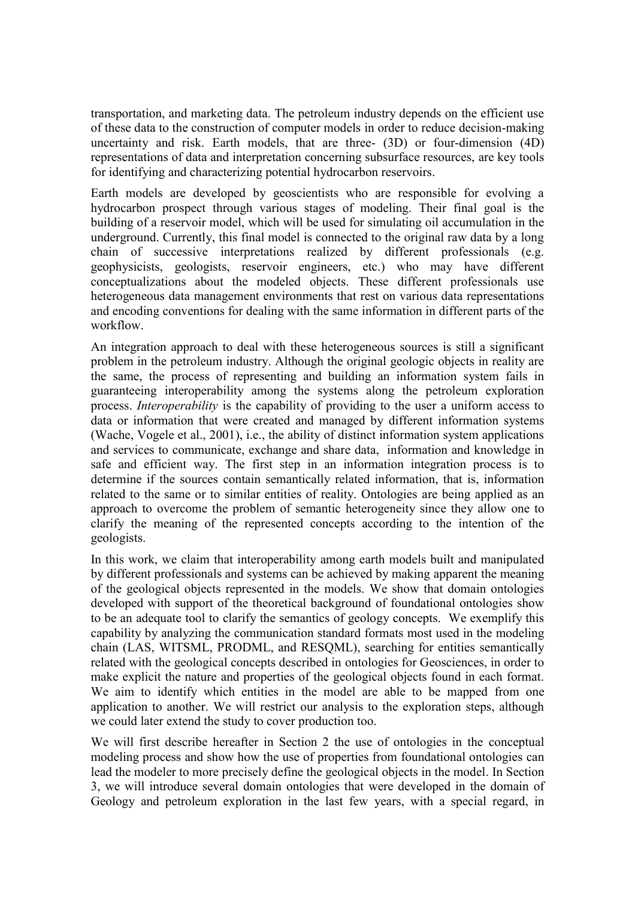transportation, and marketing data. The petroleum industry depends on the efficient use of these data to the construction of computer models in order to reduce decision-making uncertainty and risk. Earth models, that are three- (3D) or four-dimension (4D) representations of data and interpretation concerning subsurface resources, are key tools for identifying and characterizing potential hydrocarbon reservoirs.

Earth models are developed by geoscientists who are responsible for evolving a hydrocarbon prospect through various stages of modeling. Their final goal is the building of a reservoir model, which will be used for simulating oil accumulation in the underground. Currently, this final model is connected to the original raw data by a long chain of successive interpretations realized by different professionals (e.g. geophysicists, geologists, reservoir engineers, etc.) who may have different conceptualizations about the modeled objects. These different professionals use heterogeneous data management environments that rest on various data representations and encoding conventions for dealing with the same information in different parts of the workflow.

An integration approach to deal with these heterogeneous sources is still a significant problem in the petroleum industry. Although the original geologic objects in reality are the same, the process of representing and building an information system fails in guaranteeing interoperability among the systems along the petroleum exploration process. *Interoperability* is the capability of providing to the user a uniform access to data or information that were created and managed by different information systems [\(Wache, Vogele et al., 2001\)](#page-19-0), i.e., the ability of distinct information system applications and services to communicate, exchange and share data, information and knowledge in safe and efficient way. The first step in an information integration process is to determine if the sources contain semantically related information, that is, information related to the same or to similar entities of reality. Ontologies are being applied as an approach to overcome the problem of semantic heterogeneity since they allow one to clarify the meaning of the represented concepts according to the intention of the geologists.

In this work, we claim that interoperability among earth models built and manipulated by different professionals and systems can be achieved by making apparent the meaning of the geological objects represented in the models. We show that domain ontologies developed with support of the theoretical background of foundational ontologies show to be an adequate tool to clarify the semantics of geology concepts. We exemplify this capability by analyzing the communication standard formats most used in the modeling chain (LAS, WITSML, PRODML, and RESQML), searching for entities semantically related with the geological concepts described in ontologies for Geosciences, in order to make explicit the nature and properties of the geological objects found in each format. We aim to identify which entities in the model are able to be mapped from one application to another. We will restrict our analysis to the exploration steps, although we could later extend the study to cover production too.

We will first describe hereafter in Section 2 the use of ontologies in the conceptual modeling process and show how the use of properties from foundational ontologies can lead the modeler to more precisely define the geological objects in the model. In Section 3, we will introduce several domain ontologies that were developed in the domain of Geology and petroleum exploration in the last few years, with a special regard, in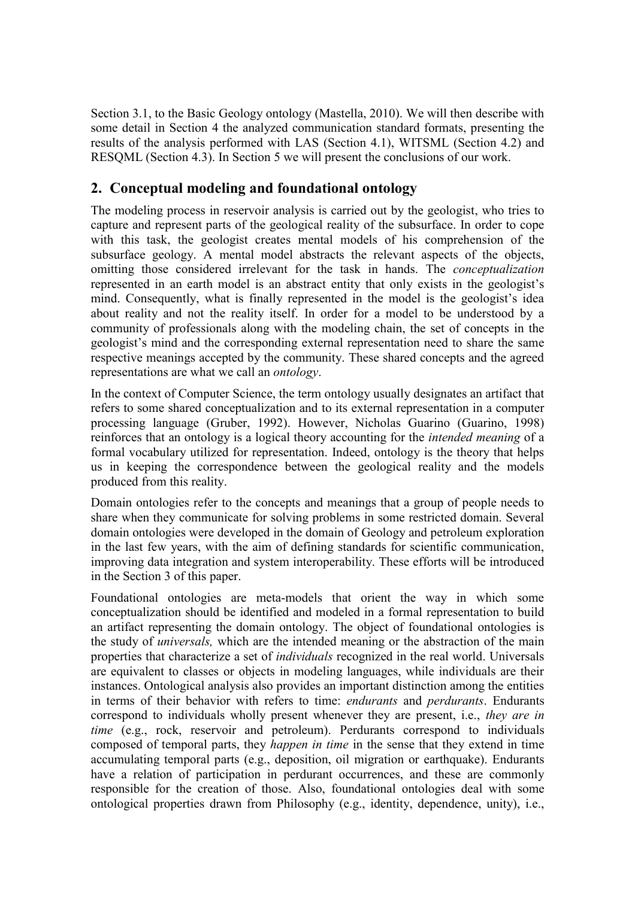Section 3.1, to the Basic Geology ontology [\(Mastella, 2010\)](#page-18-0). We will then describe with some detail in Section 4 the analyzed communication standard formats, presenting the results of the analysis performed with LAS (Section 4.1), WITSML (Section 4.2) and RESQML (Section 4.3). In Section 5 we will present the conclusions of our work.

## **2. Conceptual modeling and foundational ontology**

The modeling process in reservoir analysis is carried out by the geologist, who tries to capture and represent parts of the geological reality of the subsurface. In order to cope with this task, the geologist creates mental models of his comprehension of the subsurface geology. A mental model abstracts the relevant aspects of the objects, omitting those considered irrelevant for the task in hands. The *conceptualization* represented in an earth model is an abstract entity that only exists in the geologist's mind. Consequently, what is finally represented in the model is the geologist's idea about reality and not the reality itself. In order for a model to be understood by a community of professionals along with the modeling chain, the set of concepts in the geologist's mind and the corresponding external representation need to share the same respective meanings accepted by the community. These shared concepts and the agreed representations are what we call an *ontology*.

In the context of Computer Science, the term ontology usually designates an artifact that refers to some shared conceptualization and to its external representation in a computer processing language [\(Gruber, 1992\)](#page-18-1). However, Nicholas Guarino [\(Guarino, 1998\)](#page-18-2) reinforces that an ontology is a logical theory accounting for the *intended meaning* of a formal vocabulary utilized for representation. Indeed, ontology is the theory that helps us in keeping the correspondence between the geological reality and the models produced from this reality.

Domain ontologies refer to the concepts and meanings that a group of people needs to share when they communicate for solving problems in some restricted domain. Several domain ontologies were developed in the domain of Geology and petroleum exploration in the last few years, with the aim of defining standards for scientific communication, improving data integration and system interoperability. These efforts will be introduced in the Section 3 of this paper.

Foundational ontologies are meta-models that orient the way in which some conceptualization should be identified and modeled in a formal representation to build an artifact representing the domain ontology. The object of foundational ontologies is the study of *universals,* which are the intended meaning or the abstraction of the main properties that characterize a set of *individuals* recognized in the real world. Universals are equivalent to classes or objects in modeling languages, while individuals are their instances. Ontological analysis also provides an important distinction among the entities in terms of their behavior with refers to time: *endurants* and *perdurants*. Endurants correspond to individuals wholly present whenever they are present, i.e., *they are in time* (e.g., rock, reservoir and petroleum). Perdurants correspond to individuals composed of temporal parts, they *happen in time* in the sense that they extend in time accumulating temporal parts (e.g., deposition, oil migration or earthquake). Endurants have a relation of participation in perdurant occurrences, and these are commonly responsible for the creation of those. Also, foundational ontologies deal with some ontological properties drawn from Philosophy (e.g., identity, dependence, unity), i.e.,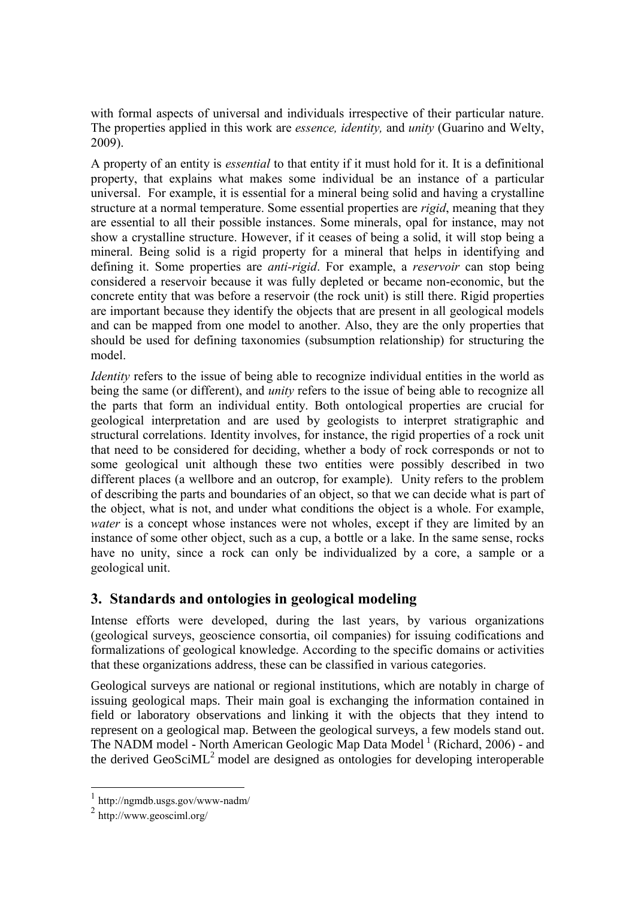with formal aspects of universal and individuals irrespective of their particular nature. The properties applied in this work are *essence, identity,* and *unity* [\(Guarino and Welty,](#page-18-3)  [2009\)](#page-18-3).

A property of an entity is *essential* to that entity if it must hold for it. It is a definitional property, that explains what makes some individual be an instance of a particular universal. For example, it is essential for a mineral being solid and having a crystalline structure at a normal temperature. Some essential properties are *rigid*, meaning that they are essential to all their possible instances. Some minerals, opal for instance, may not show a crystalline structure. However, if it ceases of being a solid, it will stop being a mineral. Being solid is a rigid property for a mineral that helps in identifying and defining it. Some properties are *anti-rigid*. For example, a *reservoir* can stop being considered a reservoir because it was fully depleted or became non-economic, but the concrete entity that was before a reservoir (the rock unit) is still there. Rigid properties are important because they identify the objects that are present in all geological models and can be mapped from one model to another. Also, they are the only properties that should be used for defining taxonomies (subsumption relationship) for structuring the model.

*Identity* refers to the issue of being able to recognize individual entities in the world as being the same (or different), and *unity* refers to the issue of being able to recognize all the parts that form an individual entity. Both ontological properties are crucial for geological interpretation and are used by geologists to interpret stratigraphic and structural correlations. Identity involves, for instance, the rigid properties of a rock unit that need to be considered for deciding, whether a body of rock corresponds or not to some geological unit although these two entities were possibly described in two different places (a wellbore and an outcrop, for example). Unity refers to the problem of describing the parts and boundaries of an object, so that we can decide what is part of the object, what is not, and under what conditions the object is a whole. For example, *water* is a concept whose instances were not wholes, except if they are limited by an instance of some other object, such as a cup, a bottle or a lake. In the same sense, rocks have no unity, since a rock can only be individualized by a core, a sample or a geological unit.

### **3. Standards and ontologies in geological modeling**

Intense efforts were developed, during the last years, by various organizations (geological surveys, geoscience consortia, oil companies) for issuing codifications and formalizations of geological knowledge. According to the specific domains or activities that these organizations address, these can be classified in various categories.

Geological surveys are national or regional institutions, which are notably in charge of issuing geological maps. Their main goal is exchanging the information contained in field or laboratory observations and linking it with the objects that they intend to represent on a geological map. Between the geological surveys, a few models stand out. The NADM model - North American Geologic Map Data Model<sup>1</sup> [\(Richard, 2006\)](#page-18-4) - and the derived  $GeoSciML^2$  model are designed as ontologies for developing interoperable

<sup>1</sup> <http://ngmdb.usgs.gov/www-nadm/>

<sup>2</sup> <http://www.geosciml.org/>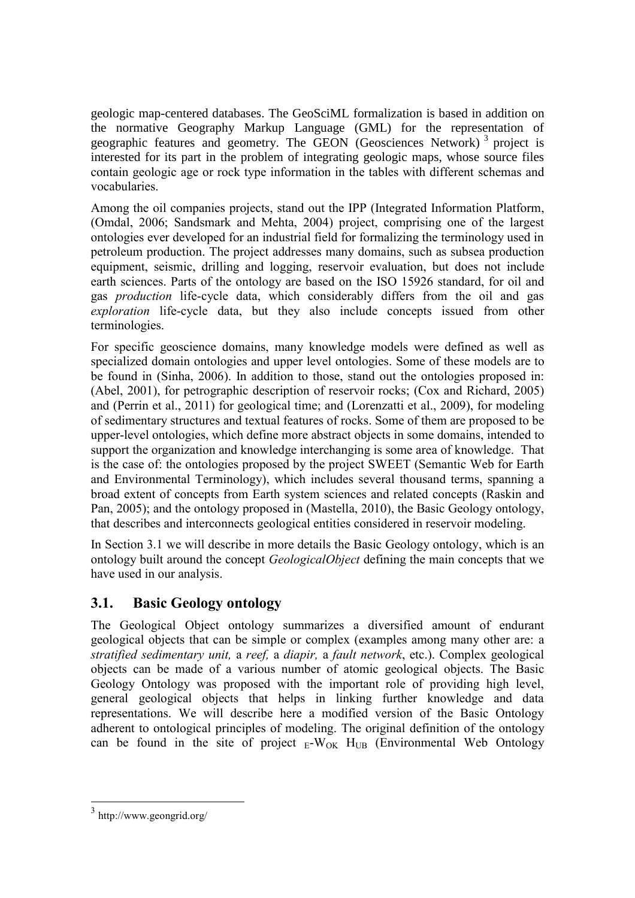geologic map-centered databases. The GeoSciML formalization is based in addition on the normative Geography Markup Language (GML) for the representation of geographic features and geometry. The GEON (Geosciences Network)<sup>3</sup> project is interested for its part in the problem of integrating geologic maps, whose source files contain geologic age or rock type information in the tables with different schemas and vocabularies.

Among the oil companies projects, stand out the IPP (Integrated Information Platform, [\(Omdal, 2006;](#page-18-5) [Sandsmark and Mehta, 2004\)](#page-19-1) project, comprising one of the largest ontologies ever developed for an industrial field for formalizing the terminology used in petroleum production. The project addresses many domains, such as subsea production equipment, seismic, drilling and logging, reservoir evaluation, but does not include earth sciences. Parts of the ontology are based on the ISO 15926 standard, for oil and gas *production* life-cycle data, which considerably differs from the oil and gas *exploration* life-cycle data, but they also include concepts issued from other terminologies.

For specific geoscience domains, many knowledge models were defined as well as specialized domain ontologies and upper level ontologies. Some of these models are to be found in [\(Sinha, 2006\)](#page-19-2). In addition to those, stand out the ontologies proposed in: [\(Abel, 2001\)](#page-17-0), for petrographic description of reservoir rocks; [\(Cox and Richard, 2005\)](#page-17-1) and [\(Perrin et al., 2011\)](#page-18-6) for geological time; and [\(Lorenzatti et al., 2009\)](#page-18-7), for modeling of sedimentary structures and textual features of rocks. Some of them are proposed to be upper-level ontologies, which define more abstract objects in some domains, intended to support the organization and knowledge interchanging is some area of knowledge. That is the case of: the ontologies proposed by the project SWEET (Semantic Web for Earth and Environmental Terminology), which includes several thousand terms, spanning a broad extent of concepts from Earth system sciences and related concepts [\(Raskin and](#page-18-8)  [Pan, 2005\)](#page-18-8); and the ontology proposed in [\(Mastella, 2010\)](#page-18-0), the Basic Geology ontology, that describes and interconnects geological entities considered in reservoir modeling.

In Section 3.1 we will describe in more details the Basic Geology ontology, which is an ontology built around the concept *GeologicalObject* defining the main concepts that we have used in our analysis.

### **3.1. Basic Geology ontology**

The Geological Object ontology summarizes a diversified amount of endurant geological objects that can be simple or complex (examples among many other are: a *stratified sedimentary unit,* a *reef,* a *diapir,* a *fault network*, etc.). Complex geological objects can be made of a various number of atomic geological objects. The Basic Geology Ontology was proposed with the important role of providing high level, general geological objects that helps in linking further knowledge and data representations. We will describe here a modified version of the Basic Ontology adherent to ontological principles of modeling. The original definition of the ontology can be found in the site of project  $E-W_{OK}$  H<sub>UB</sub> (Environmental Web Ontology

<sup>3</sup> <http://www.geongrid.org/>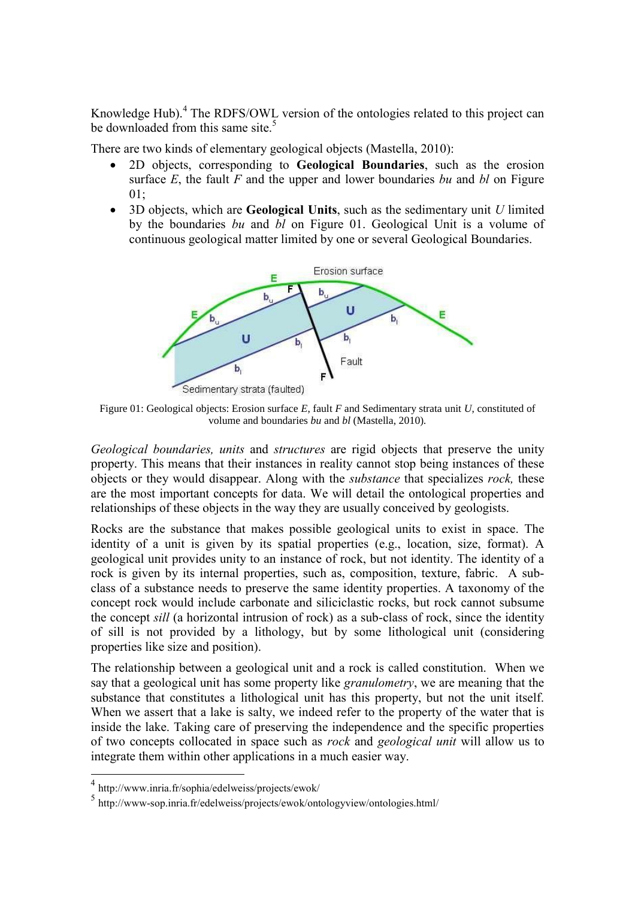Knowledge Hub).<sup>4</sup> The RDFS/OWL version of the ontologies related to this project can be downloaded from this same site.<sup>5</sup>

There are two kinds of elementary geological objects [\(Mastella, 2010\)](#page-18-0):

- 2D objects, corresponding to **Geological Boundaries**, such as the erosion surface *E*, the fault *F* and the upper and lower boundaries *bu* and *bl* on Figure  $01:$
- 3D objects, which are **Geological Units**, such as the sedimentary unit *U* limited by the boundaries *bu* and *bl* on Figure 01. Geological Unit is a volume of continuous geological matter limited by one or several Geological Boundaries.



Figure 01: Geological objects: Erosion surface *E*, fault *F* and Sedimentary strata unit *U*, constituted of volume and boundaries *bu* and *bl* [\(Mastella, 2010\)](#page-18-0)*.*

*Geological boundaries, units* and *structures* are rigid objects that preserve the unity property. This means that their instances in reality cannot stop being instances of these objects or they would disappear. Along with the *substance* that specializes *rock,* these are the most important concepts for data. We will detail the ontological properties and relationships of these objects in the way they are usually conceived by geologists.

Rocks are the substance that makes possible geological units to exist in space. The identity of a unit is given by its spatial properties (e.g., location, size, format). A geological unit provides unity to an instance of rock, but not identity. The identity of a rock is given by its internal properties, such as, composition, texture, fabric. A subclass of a substance needs to preserve the same identity properties. A taxonomy of the concept rock would include carbonate and siliciclastic rocks, but rock cannot subsume the concept *sill* (a horizontal intrusion of rock) as a sub-class of rock, since the identity of sill is not provided by a lithology, but by some lithological unit (considering properties like size and position).

The relationship between a geological unit and a rock is called constitution. When we say that a geological unit has some property like *granulometry*, we are meaning that the substance that constitutes a lithological unit has this property, but not the unit itself. When we assert that a lake is salty, we indeed refer to the property of the water that is inside the lake. Taking care of preserving the independence and the specific properties of two concepts collocated in space such as *rock* and *geological unit* will allow us to integrate them within other applications in a much easier way.

 4 <http://www.inria.fr/sophia/edelweiss/projects/ewok/>

<sup>5</sup> [http://www-sop.inria.fr/edelweiss/projects/ewok/ontologyview/ontologies.html/](http://www-sop.inria.fr/edelweiss/projects/ewok/ontologyview/ontologies.html)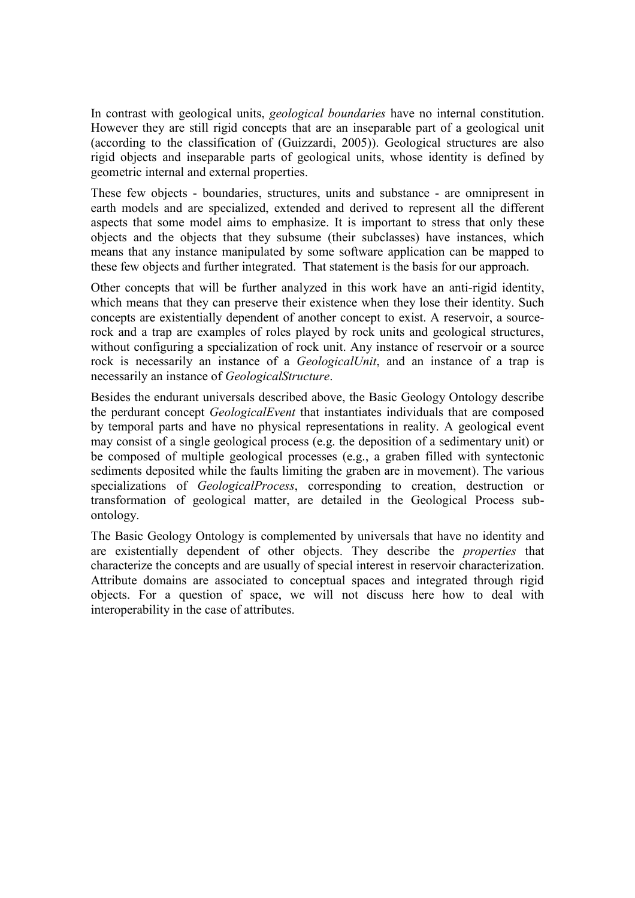In contrast with geological units, *geological boundaries* have no internal constitution. However they are still rigid concepts that are an inseparable part of a geological unit (according to the classification of [\(Guizzardi, 2005\)](#page-18-9)). Geological structures are also rigid objects and inseparable parts of geological units, whose identity is defined by geometric internal and external properties.

These few objects - boundaries, structures, units and substance - are omnipresent in earth models and are specialized, extended and derived to represent all the different aspects that some model aims to emphasize. It is important to stress that only these objects and the objects that they subsume (their subclasses) have instances, which means that any instance manipulated by some software application can be mapped to these few objects and further integrated. That statement is the basis for our approach.

Other concepts that will be further analyzed in this work have an anti-rigid identity, which means that they can preserve their existence when they lose their identity. Such concepts are existentially dependent of another concept to exist. A reservoir, a sourcerock and a trap are examples of roles played by rock units and geological structures, without configuring a specialization of rock unit. Any instance of reservoir or a source rock is necessarily an instance of a *GeologicalUnit*, and an instance of a trap is necessarily an instance of *GeologicalStructure*.

Besides the endurant universals described above, the Basic Geology Ontology describe the perdurant concept *GeologicalEvent* that instantiates individuals that are composed by temporal parts and have no physical representations in reality. A geological event may consist of a single geological process (e.g. the deposition of a sedimentary unit) or be composed of multiple geological processes (e.g., a graben filled with syntectonic sediments deposited while the faults limiting the graben are in movement). The various specializations of *GeologicalProcess*, corresponding to creation, destruction or transformation of geological matter, are detailed in the Geological Process subontology.

The Basic Geology Ontology is complemented by universals that have no identity and are existentially dependent of other objects. They describe the *properties* that characterize the concepts and are usually of special interest in reservoir characterization. Attribute domains are associated to conceptual spaces and integrated through rigid objects. For a question of space, we will not discuss here how to deal with interoperability in the case of attributes.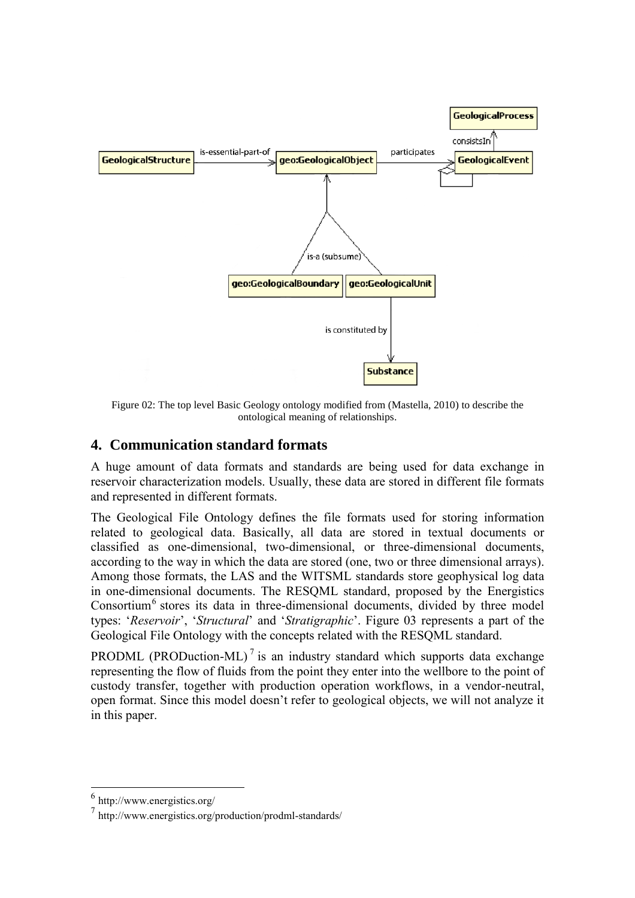

Figure 02: The top level Basic Geology ontology modified from [\(Mastella, 2010\)](#page-18-0) to describe the ontological meaning of relationships.

### **4. Communication standard formats**

A huge amount of data formats and standards are being used for data exchange in reservoir characterization models. Usually, these data are stored in different file formats and represented in different formats.

The Geological File Ontology defines the file formats used for storing information related to geological data. Basically, all data are stored in textual documents or classified as one-dimensional, two-dimensional, or three-dimensional documents, according to the way in which the data are stored (one, two or three dimensional arrays). Among those formats, the LAS and the WITSML standards store geophysical log data in one-dimensional documents. The RESQML standard, proposed by the Energistics Consortium<sup>6</sup> stores its data in three-dimensional documents, divided by three model types: '*Reservoir*', '*Structural*' and '*Stratigraphic*'. Figure 03 represents a part of the Geological File Ontology with the concepts related with the RESQML standard.

PRODML (PRODuction-ML)<sup>7</sup> is an industry standard which supports data exchange representing the flow of fluids from the point they enter into the wellbore to the point of custody transfer, together with production operation workflows, in a vendor-neutral, open format. Since this model doesn't refer to geological objects, we will not analyze it in this paper.

<sup>6</sup> <http://www.energistics.org/>

<sup>7</sup> <http://www.energistics.org/production/prodml-standards/>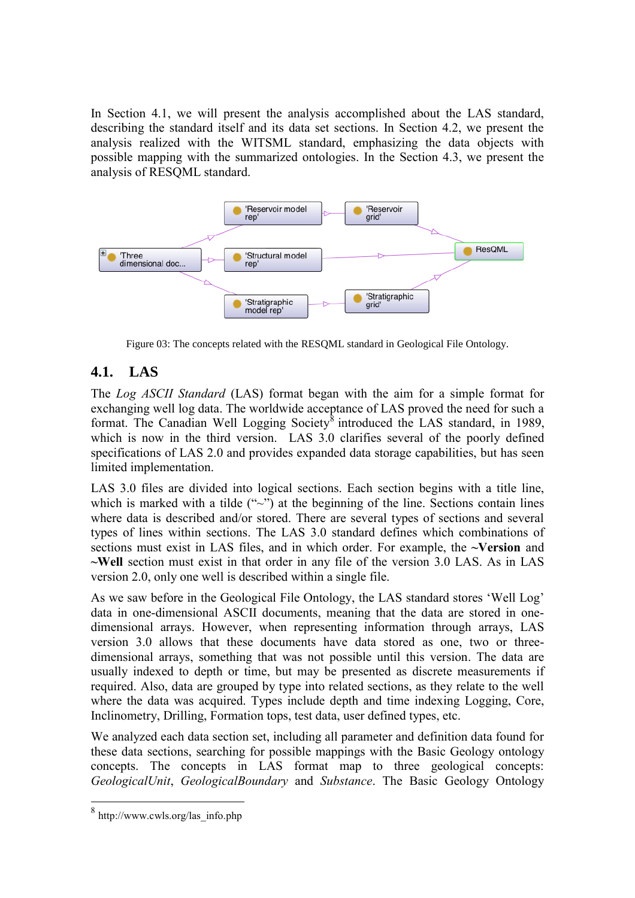In Section 4.1, we will present the analysis accomplished about the LAS standard, describing the standard itself and its data set sections. In Section 4.2, we present the analysis realized with the WITSML standard, emphasizing the data objects with possible mapping with the summarized ontologies. In the Section 4.3, we present the analysis of RESQML standard.



Figure 03: The concepts related with the RESQML standard in Geological File Ontology.

### **4.1. LAS**

The *Log ASCII Standard* (LAS) format began with the aim for a simple format for exchanging well log data. The worldwide acceptance of LAS proved the need for such a format. The Canadian Well Logging Society<sup>8</sup> introduced the LAS standard, in 1989, which is now in the third version. LAS 3.0 clarifies several of the poorly defined specifications of LAS 2.0 and provides expanded data storage capabilities, but has seen limited implementation.

LAS 3.0 files are divided into logical sections. Each section begins with a title line, which is marked with a tilde  $($ " $\sim$ " $)$  at the beginning of the line. Sections contain lines where data is described and/or stored. There are several types of sections and several types of lines within sections. The LAS 3.0 standard defines which combinations of sections must exist in LAS files, and in which order. For example, the **~Version** and **~Well** section must exist in that order in any file of the version 3.0 LAS. As in LAS version 2.0, only one well is described within a single file.

As we saw before in the Geological File Ontology, the LAS standard stores 'Well Log' data in one-dimensional ASCII documents, meaning that the data are stored in onedimensional arrays. However, when representing information through arrays, LAS version 3.0 allows that these documents have data stored as one, two or threedimensional arrays, something that was not possible until this version. The data are usually indexed to depth or time, but may be presented as discrete measurements if required. Also, data are grouped by type into related sections, as they relate to the well where the data was acquired. Types include depth and time indexing Logging, Core, Inclinometry, Drilling, Formation tops, test data, user defined types, etc.

We analyzed each data section set, including all parameter and definition data found for these data sections, searching for possible mappings with the Basic Geology ontology concepts. The concepts in LAS format map to three geological concepts: *GeologicalUnit*, *GeologicalBoundary* and *Substance*. The Basic Geology Ontology

 $\frac{1}{8}$ [http://www.cwls.org/las\\_info.php](http://www.cwls.org/las_info.php)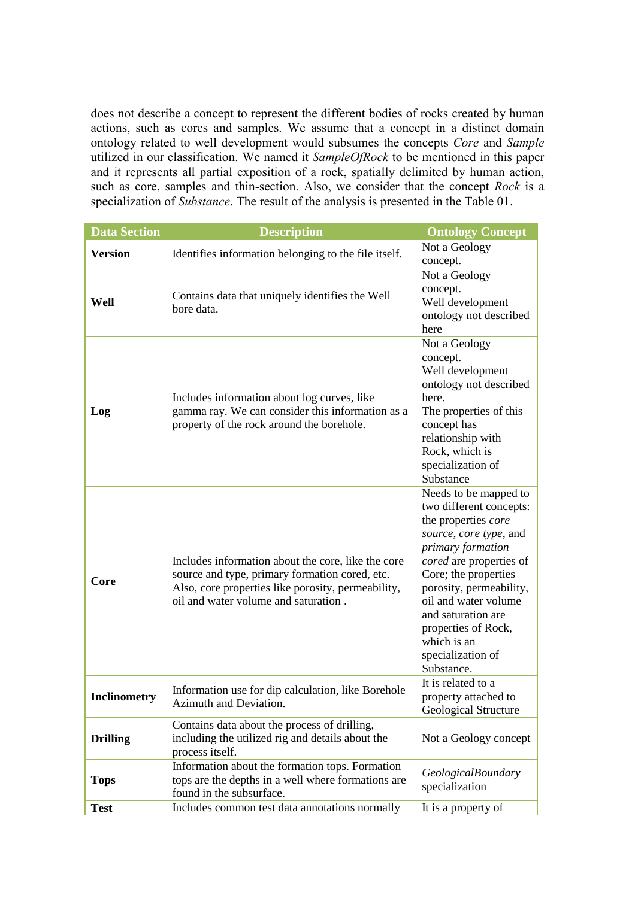does not describe a concept to represent the different bodies of rocks created by human actions, such as cores and samples. We assume that a concept in a distinct domain ontology related to well development would subsumes the concepts *Core* and *Sample* utilized in our classification. We named it *SampleOfRock* to be mentioned in this paper and it represents all partial exposition of a rock, spatially delimited by human action, such as core, samples and thin-section. Also, we consider that the concept *Rock* is a specialization of *Substance*. The result of the analysis is presented in the Table 01.

| <b>Data Section</b>                                                                          | <b>Description</b>                                                                                                                                                                                 | <b>Ontology Concept</b>                                                                                                                                                                                                                                                                                                     |  |  |
|----------------------------------------------------------------------------------------------|----------------------------------------------------------------------------------------------------------------------------------------------------------------------------------------------------|-----------------------------------------------------------------------------------------------------------------------------------------------------------------------------------------------------------------------------------------------------------------------------------------------------------------------------|--|--|
| <b>Version</b>                                                                               | Identifies information belonging to the file itself.                                                                                                                                               | Not a Geology<br>concept.                                                                                                                                                                                                                                                                                                   |  |  |
|                                                                                              |                                                                                                                                                                                                    |                                                                                                                                                                                                                                                                                                                             |  |  |
| Well                                                                                         | Contains data that uniquely identifies the Well<br>bore data.                                                                                                                                      | Not a Geology<br>concept.<br>Well development<br>ontology not described<br>here                                                                                                                                                                                                                                             |  |  |
| Log                                                                                          | Includes information about log curves, like<br>gamma ray. We can consider this information as a<br>property of the rock around the borehole.                                                       | Not a Geology<br>concept.<br>Well development<br>ontology not described<br>here.<br>The properties of this<br>concept has<br>relationship with<br>Rock, which is<br>specialization of<br>Substance                                                                                                                          |  |  |
| Core                                                                                         | Includes information about the core, like the core<br>source and type, primary formation cored, etc.<br>Also, core properties like porosity, permeability,<br>oil and water volume and saturation. | Needs to be mapped to<br>two different concepts:<br>the properties core<br>source, core type, and<br>primary formation<br>cored are properties of<br>Core; the properties<br>porosity, permeability,<br>oil and water volume<br>and saturation are<br>properties of Rock,<br>which is an<br>specialization of<br>Substance. |  |  |
| Information use for dip calculation, like Borehole<br>Inclinometry<br>Azimuth and Deviation. |                                                                                                                                                                                                    | It is related to a<br>property attached to<br>Geological Structure                                                                                                                                                                                                                                                          |  |  |
| <b>Drilling</b>                                                                              | Contains data about the process of drilling,<br>including the utilized rig and details about the<br>Not a Geology concept<br>process itself.                                                       |                                                                                                                                                                                                                                                                                                                             |  |  |
| <b>Tops</b>                                                                                  | <b>GeologicalBoundary</b><br>specialization                                                                                                                                                        |                                                                                                                                                                                                                                                                                                                             |  |  |
| <b>Test</b>                                                                                  | Includes common test data annotations normally                                                                                                                                                     | It is a property of                                                                                                                                                                                                                                                                                                         |  |  |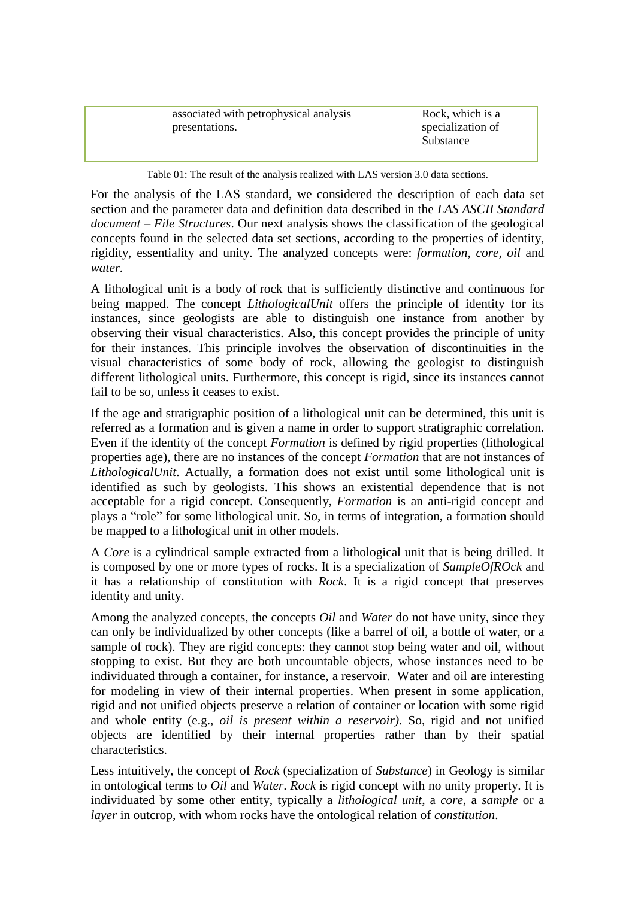| associated with petrophysical analysis | Rock, which is a  |
|----------------------------------------|-------------------|
| presentations.                         | specialization of |
|                                        | Substance         |
|                                        |                   |

Table 01: The result of the analysis realized with LAS version 3.0 data sections.

For the analysis of the LAS standard, we considered the description of each data set section and the parameter data and definition data described in the *LAS ASCII Standard document – File Structures*. Our next analysis shows the classification of the geological concepts found in the selected data set sections, according to the properties of identity, rigidity, essentiality and unity. The analyzed concepts were: *formation, core, oil* and *water.*

A lithological unit is a body of rock that is sufficiently distinctive and continuous for being mapped. The concept *LithologicalUnit* offers the principle of identity for its instances, since geologists are able to distinguish one instance from another by observing their visual characteristics. Also, this concept provides the principle of unity for their instances. This principle involves the observation of discontinuities in the visual characteristics of some body of rock, allowing the geologist to distinguish different lithological units. Furthermore, this concept is rigid, since its instances cannot fail to be so, unless it ceases to exist.

If the age and stratigraphic position of a lithological unit can be determined, this unit is referred as a formation and is given a name in order to support stratigraphic correlation. Even if the identity of the concept *Formation* is defined by rigid properties (lithological properties age), there are no instances of the concept *Formation* that are not instances of *LithologicalUnit*. Actually, a formation does not exist until some lithological unit is identified as such by geologists. This shows an existential dependence that is not acceptable for a rigid concept. Consequently, *Formation* is an anti-rigid concept and plays a "role" for some lithological unit. So, in terms of integration, a formation should be mapped to a lithological unit in other models.

A *Core* is a cylindrical sample extracted from a lithological unit that is being drilled. It is composed by one or more types of rocks. It is a specialization of *SampleOfROck* and it has a relationship of constitution with *Rock*. It is a rigid concept that preserves identity and unity.

Among the analyzed concepts, the concepts *Oil* and *Water* do not have unity, since they can only be individualized by other concepts (like a barrel of oil, a bottle of water, or a sample of rock). They are rigid concepts: they cannot stop being water and oil, without stopping to exist. But they are both uncountable objects, whose instances need to be individuated through a container, for instance, a reservoir. Water and oil are interesting for modeling in view of their internal properties. When present in some application, rigid and not unified objects preserve a relation of container or location with some rigid and whole entity (e.g., *oil is present within a reservoir)*. So, rigid and not unified objects are identified by their internal properties rather than by their spatial characteristics.

Less intuitively, the concept of *Rock* (specialization of *Substance*) in Geology is similar in ontological terms to *Oil* and *Water*. *Rock* is rigid concept with no unity property. It is individuated by some other entity, typically a *lithological unit*, a *core*, a *sample* or a *layer* in outcrop, with whom rocks have the ontological relation of *constitution*.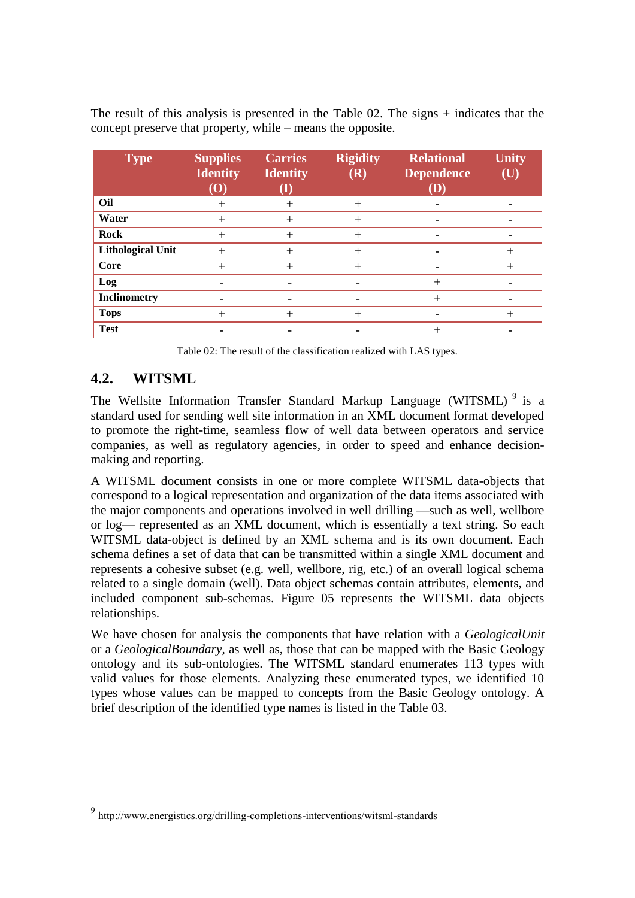The result of this analysis is presented in the Table 02. The signs + indicates that the concept preserve that property, while – means the opposite.

| <b>Type</b>              | <b>Supplies</b><br><b>Identity</b><br>$\left( \mathbf{O}\right)$ | <b>Carries</b><br><b>Identity</b> | <b>Rigidity</b><br>(R) | <b>Relational</b><br><b>Dependence</b><br>(D) | <b>Unity</b><br>(U) |
|--------------------------|------------------------------------------------------------------|-----------------------------------|------------------------|-----------------------------------------------|---------------------|
| Oil                      | $\pm$                                                            | $^{+}$                            | $^+$                   |                                               |                     |
| Water                    | $^{+}$                                                           | $^{+}$                            | $^{+}$                 |                                               |                     |
| <b>Rock</b>              | $^{+}$                                                           | $^{+}$                            | $^{+}$                 |                                               |                     |
| <b>Lithological Unit</b> | $^{+}$                                                           | $^{+}$                            | $^+$                   | -                                             | $^+$                |
| Core                     | $^{+}$                                                           | $^{+}$                            | $^+$                   |                                               | ┿                   |
| Log                      |                                                                  |                                   |                        | $\overline{+}$                                |                     |
| Inclinometry             |                                                                  |                                   |                        | $\, +$                                        |                     |
| <b>Tops</b>              | $\,+\,$                                                          | $\pm$                             | $^+$                   |                                               | $^+$                |
| <b>Test</b>              |                                                                  |                                   |                        | $^{+}$                                        |                     |

Table 02: The result of the classification realized with LAS types.

## **4.2. WITSML**

1

The Wellsite Information Transfer Standard Markup Language (WITSML)<sup>9</sup> is a standard used for sending well site information in an XML document format developed to promote the right-time, seamless flow of well data between operators and service companies, as well as regulatory agencies, in order to speed and enhance decisionmaking and reporting.

A WITSML document consists in one or more complete WITSML data-objects that correspond to a logical representation and organization of the data items associated with the major components and operations involved in well drilling —such as well, wellbore or log— represented as an XML document, which is essentially a text string. So each WITSML data-object is defined by an XML schema and is its own document. Each schema defines a set of data that can be transmitted within a single XML document and represents a cohesive subset (e.g. well, wellbore, rig, etc.) of an overall logical schema related to a single domain (well). Data object schemas contain attributes, elements, and included component sub-schemas. Figure 05 represents the WITSML data objects relationships.

We have chosen for analysis the components that have relation with a *GeologicalUnit* or a *GeologicalBoundary,* as well as, those that can be mapped with the Basic Geology ontology and its sub-ontologies. The WITSML standard enumerates 113 types with valid values for those elements. Analyzing these enumerated types, we identified 10 types whose values can be mapped to concepts from the Basic Geology ontology. A brief description of the identified type names is listed in the Table 03.

<sup>9</sup> <http://www.energistics.org/drilling-completions-interventions/witsml-standards>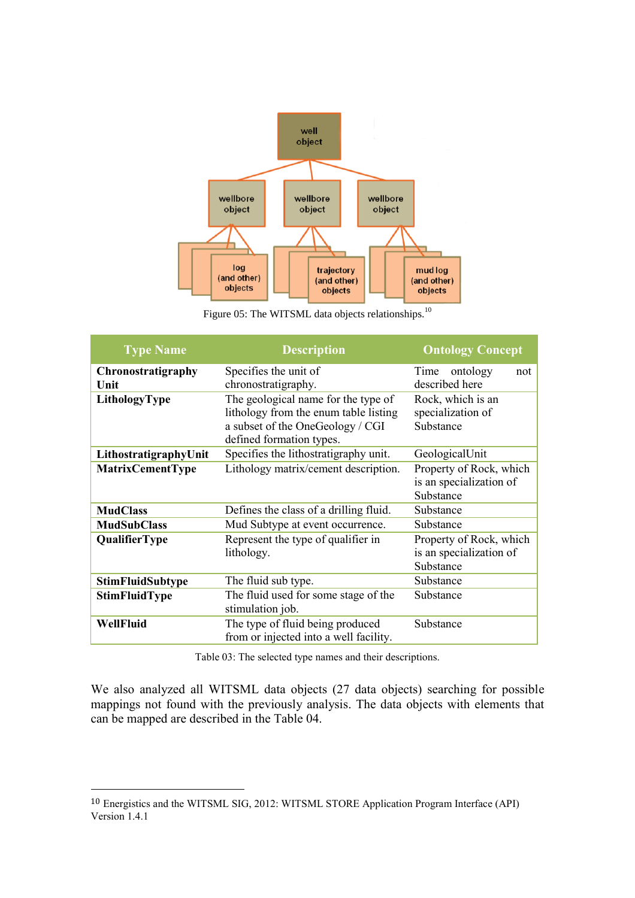

Figure 05: The WITSML data objects relationships.<sup>10</sup>

| <b>Type Name</b>        | <b>Description</b>                     | <b>Ontology Concept</b> |  |
|-------------------------|----------------------------------------|-------------------------|--|
| Chronostratigraphy      | Specifies the unit of                  | ontology<br>Time<br>not |  |
| Unit                    | chronostratigraphy.                    | described here          |  |
| LithologyType           | The geological name for the type of    | Rock, which is an       |  |
|                         | lithology from the enum table listing  | specialization of       |  |
|                         | a subset of the OneGeology / CGI       | Substance               |  |
|                         | defined formation types.               |                         |  |
| LithostratigraphyUnit   | Specifies the lithostratigraphy unit.  | GeologicalUnit          |  |
| <b>MatrixCementType</b> | Lithology matrix/cement description.   | Property of Rock, which |  |
|                         |                                        | is an specialization of |  |
|                         |                                        | Substance               |  |
| <b>MudClass</b>         | Defines the class of a drilling fluid. | Substance               |  |
| <b>MudSubClass</b>      | Mud Subtype at event occurrence.       | Substance               |  |
| <b>QualifierType</b>    | Represent the type of qualifier in     | Property of Rock, which |  |
|                         | lithology.                             | is an specialization of |  |
|                         |                                        | Substance               |  |
| <b>StimFluidSubtype</b> | The fluid sub type.                    | Substance               |  |
| <b>StimFluidType</b>    | The fluid used for some stage of the   | Substance               |  |
|                         | stimulation job.                       |                         |  |
| WellFluid               | The type of fluid being produced       | Substance               |  |
|                         | from or injected into a well facility. |                         |  |

Table 03: The selected type names and their descriptions.

We also analyzed all WITSML data objects (27 data objects) searching for possible mappings not found with the previously analysis. The data objects with elements that can be mapped are described in the Table 04.

<sup>10</sup> Energistics and the WITSML SIG, 2012: WITSML STORE Application Program Interface (API) Version 1.4.1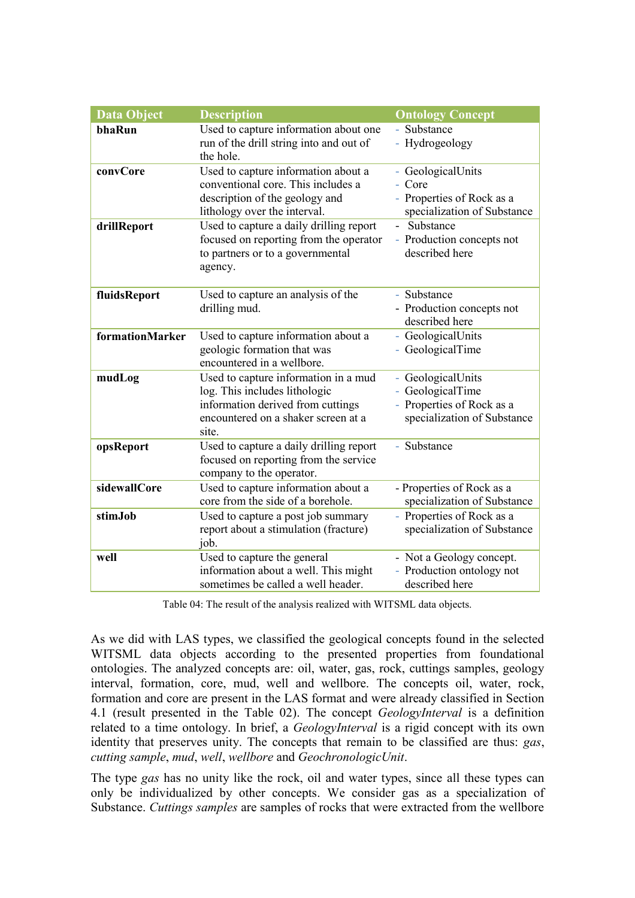| <b>Data Object</b> | <b>Description</b>                                                                                                                                         | <b>Ontology Concept</b>                                                                           |
|--------------------|------------------------------------------------------------------------------------------------------------------------------------------------------------|---------------------------------------------------------------------------------------------------|
| bhaRun             | Used to capture information about one<br>run of the drill string into and out of<br>the hole.                                                              | - Substance<br>- Hydrogeology                                                                     |
| convCore           | Used to capture information about a<br>conventional core. This includes a<br>description of the geology and<br>lithology over the interval.                | - GeologicalUnits<br>- Core<br>- Properties of Rock as a<br>specialization of Substance           |
| drillReport        | Used to capture a daily drilling report<br>focused on reporting from the operator<br>to partners or to a governmental<br>agency.                           | Substance<br>$\omega$ .<br>- Production concepts not<br>described here                            |
| fluidsReport       | Used to capture an analysis of the<br>drilling mud.                                                                                                        | - Substance<br>- Production concepts not<br>described here                                        |
| formationMarker    | Used to capture information about a<br>geologic formation that was<br>encountered in a wellbore.                                                           | - GeologicalUnits<br>- GeologicalTime                                                             |
| mudLog             | Used to capture information in a mud<br>log. This includes lithologic<br>information derived from cuttings<br>encountered on a shaker screen at a<br>site. | - GeologicalUnits<br>- GeologicalTime<br>- Properties of Rock as a<br>specialization of Substance |
| opsReport          | Used to capture a daily drilling report<br>focused on reporting from the service<br>company to the operator.                                               | - Substance                                                                                       |
| sidewallCore       | Used to capture information about a<br>core from the side of a borehole.                                                                                   | - Properties of Rock as a<br>specialization of Substance                                          |
| stimJob            | Used to capture a post job summary<br>report about a stimulation (fracture)<br>job.                                                                        | - Properties of Rock as a<br>specialization of Substance                                          |
| well               | Used to capture the general<br>information about a well. This might<br>sometimes be called a well header.                                                  | - Not a Geology concept.<br>- Production ontology not<br>described here                           |

Table 04: The result of the analysis realized with WITSML data objects.

As we did with LAS types, we classified the geological concepts found in the selected WITSML data objects according to the presented properties from foundational ontologies. The analyzed concepts are: oil, water, gas, rock, cuttings samples, geology interval, formation, core, mud, well and wellbore. The concepts oil, water, rock, formation and core are present in the LAS format and were already classified in Section 4.1 (result presented in the Table 02). The concept *GeologyInterval* is a definition related to a time ontology. In brief, a *GeologyInterval* is a rigid concept with its own identity that preserves unity. The concepts that remain to be classified are thus: *gas*, *cutting sample*, *mud*, *well*, *wellbore* and *GeochronologicUnit*.

The type *gas* has no unity like the rock, oil and water types, since all these types can only be individualized by other concepts. We consider gas as a specialization of Substance. *Cuttings samples* are samples of rocks that were extracted from the wellbore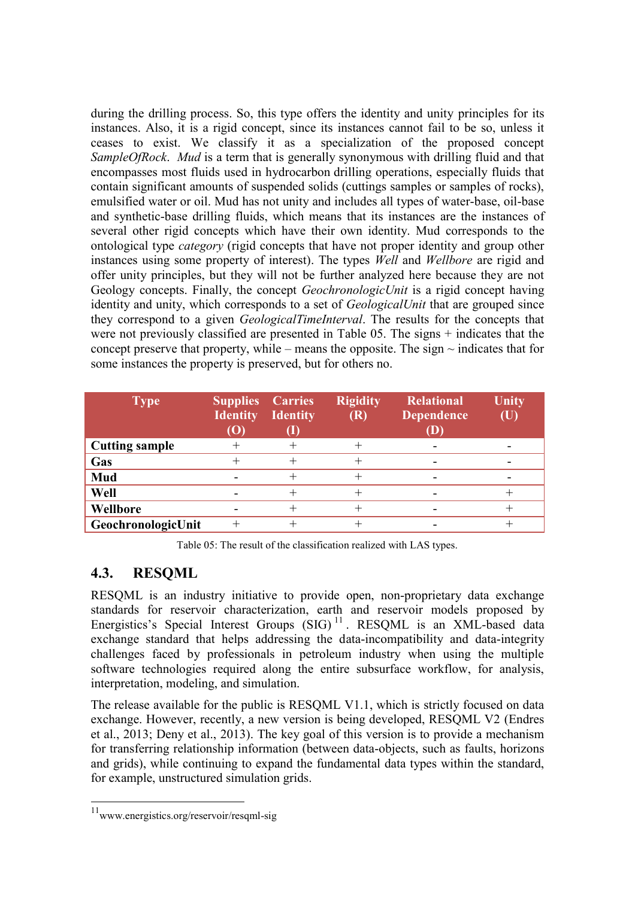during the drilling process. So, this type offers the identity and unity principles for its instances. Also, it is a rigid concept, since its instances cannot fail to be so, unless it ceases to exist. We classify it as a specialization of the proposed concept *SampleOfRock*. *Mud* is a term that is generally synonymous with drilling fluid and that encompasses most fluids used in hydrocarbon drilling operations, especially fluids that contain significant amounts of suspended solids (cuttings samples or samples of rocks), emulsified water or oil. Mud has not unity and includes all types of water-base, oil-base and synthetic-base drilling fluids, which means that its instances are the instances of several other rigid concepts which have their own identity. Mud corresponds to the ontological type *category* (rigid concepts that have not proper identity and group other instances using some property of interest). The types *Well* and *Wellbore* are rigid and offer unity principles, but they will not be further analyzed here because they are not Geology concepts. Finally, the concept *GeochronologicUnit* is a rigid concept having identity and unity, which corresponds to a set of *GeologicalUnit* that are grouped since they correspond to a given *GeologicalTimeInterval*. The results for the concepts that were not previously classified are presented in Table 05. The signs + indicates that the concept preserve that property, while – means the opposite. The sign  $\sim$  indicates that for some instances the property is preserved, but for others no.

| <b>Type</b>           | <b>Supplies Carries</b><br><b>Identity</b><br>$\left( \text{O}\right)$ | <b>Identity</b> | <b>Rigidity</b><br>(R) | <b>Relational</b><br><b>Dependence</b><br>$\bf(D)$ | <b>Unity</b><br>(U |
|-----------------------|------------------------------------------------------------------------|-----------------|------------------------|----------------------------------------------------|--------------------|
| <b>Cutting sample</b> |                                                                        |                 |                        |                                                    |                    |
| Gas                   | ┿                                                                      |                 |                        |                                                    |                    |
| Mud                   | $\overline{\phantom{0}}$                                               |                 |                        |                                                    |                    |
| Well                  |                                                                        |                 |                        |                                                    |                    |
| Wellbore              | -                                                                      |                 |                        |                                                    |                    |
| GeochronologicUnit    |                                                                        |                 |                        |                                                    |                    |

Table 05: The result of the classification realized with LAS types.

### **4.3. RESQML**

RESQML is an industry initiative to provide open, non-proprietary data exchange standards for reservoir characterization, earth and reservoir models proposed by Energistics's Special Interest Groups (SIG)<sup>11</sup>. RESOML is an XML-based data exchange standard that helps addressing the data-incompatibility and data-integrity challenges faced by professionals in petroleum industry when using the multiple software technologies required along the entire subsurface workflow, for analysis, interpretation, modeling, and simulation.

The release available for the public is RESQML V1.1, which is strictly focused on data exchange. However, recently, a new version is being developed, RESQML V2 [\(Endres](#page-19-3)  [et al., 2013; Deny et al., 2013\)](#page-19-3). The key goal of this version is to provide a mechanism for transferring relationship information (between data-objects, such as faults, horizons and grids), while continuing to expand the fundamental data types within the standard, for example, unstructured simulation grids.

 11 [www.energistics.org/reservoir/resqml-sig](http://www.energistics.org/reservoir/resqml-sig)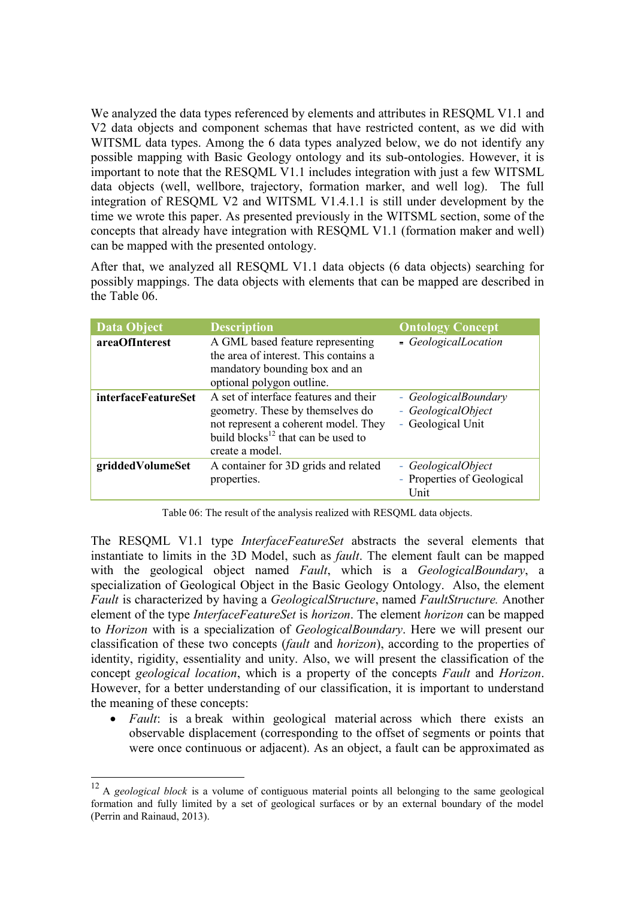We analyzed the data types referenced by elements and attributes in RESQML V1.1 and V2 data objects and component schemas that have restricted content, as we did with WITSML data types. Among the 6 data types analyzed below, we do not identify any possible mapping with Basic Geology ontology and its sub-ontologies. However, it is important to note that the RESQML V1.1 includes integration with just a few WITSML data objects (well, wellbore, trajectory, formation marker, and well log). The full integration of RESQML V2 and WITSML V1.4.1.1 is still under development by the time we wrote this paper. As presented previously in the WITSML section, some of the concepts that already have integration with RESQML V1.1 (formation maker and well) can be mapped with the presented ontology.

After that, we analyzed all RESQML V1.1 data objects (6 data objects) searching for possibly mappings. The data objects with elements that can be mapped are described in the Table 06.

| <b>Data Object</b>         | <b>Description</b>                                                                                                                                                                     | <b>Ontology Concept</b>                                         |
|----------------------------|----------------------------------------------------------------------------------------------------------------------------------------------------------------------------------------|-----------------------------------------------------------------|
| areaOfInterest             | A GML based feature representing<br>the area of interest. This contains a<br>mandatory bounding box and an<br>optional polygon outline.                                                | - GeologicalLocation                                            |
| <i>interfaceFeatureSet</i> | A set of interface features and their<br>geometry. These by themselves do<br>not represent a coherent model. They<br>build blocks <sup>12</sup> that can be used to<br>create a model. | - GeologicalBoundary<br>- GeologicalObject<br>- Geological Unit |
| griddedVolumeSet           | A container for 3D grids and related<br>properties.                                                                                                                                    | - GeologicalObject<br>- Properties of Geological<br>Unit        |

Table 06: The result of the analysis realized with RESQML data objects.

The RESQML V1.1 type *InterfaceFeatureSet* abstracts the several elements that instantiate to limits in the 3D Model, such as *fault*. The element fault can be mapped with the geological object named *Fault*, which is a *GeologicalBoundary*, a specialization of Geological Object in the Basic Geology Ontology. Also, the element *Fault* is characterized by having a *GeologicalStructure*, named *FaultStructure.* Another element of the type *InterfaceFeatureSet* is *horizon*. The element *horizon* can be mapped to *Horizon* with is a specialization of *GeologicalBoundary*. Here we will present our classification of these two concepts (*fault* and *horizon*), according to the properties of identity, rigidity, essentiality and unity. Also, we will present the classification of the concept *geological location*, which is a property of the concepts *Fault* and *Horizon*. However, for a better understanding of our classification, it is important to understand the meaning of these concepts:

*Fault*: is a break within geological material across which there exists an observable displacement (corresponding to the offset of segments or points that were once continuous or adjacent). As an object, a fault can be approximated as

<sup>12</sup> A *geological block* is a volume of contiguous material points all belonging to the same geological formation and fully limited by a set of geological surfaces or by an external boundary of the model [\(Perrin and Rainaud, 2013\)](#page-18-10).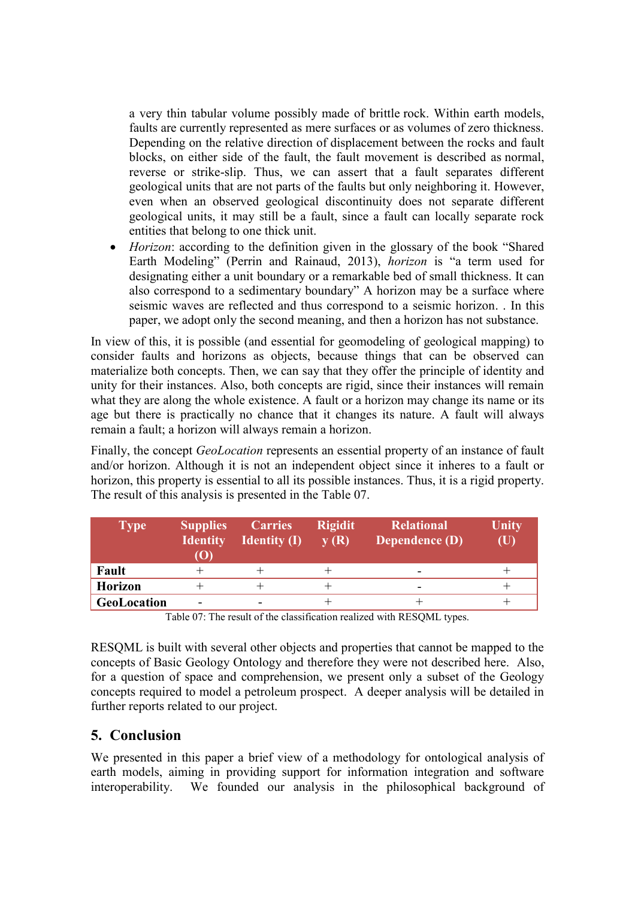a very thin tabular volume possibly made of brittle rock. Within earth models, faults are currently represented as mere surfaces or as volumes of zero thickness. Depending on the relative direction of displacement between the rocks and fault blocks, on either side of the fault, the fault movement is described as normal, reverse or strike-slip. Thus, we can assert that a fault separates different geological units that are not parts of the faults but only neighboring it. However, even when an observed geological discontinuity does not separate different geological units, it may still be a fault, since a fault can locally separate rock entities that belong to one thick unit.

 *Horizon*: according to the definition given in the glossary of the book "Shared Earth Modeling" [\(Perrin and Rainaud, 2013\)](#page-18-10), *horizon* is "a term used for designating either a unit boundary or a remarkable bed of small thickness. It can also correspond to a sedimentary boundary" A horizon may be a surface where seismic waves are reflected and thus correspond to a seismic horizon. . In this paper, we adopt only the second meaning, and then a horizon has not substance.

In view of this, it is possible (and essential for geomodeling of geological mapping) to consider faults and horizons as objects, because things that can be observed can materialize both concepts. Then, we can say that they offer the principle of identity and unity for their instances. Also, both concepts are rigid, since their instances will remain what they are along the whole existence. A fault or a horizon may change its name or its age but there is practically no chance that it changes its nature. A fault will always remain a fault; a horizon will always remain a horizon.

Finally, the concept *GeoLocation* represents an essential property of an instance of fault and/or horizon. Although it is not an independent object since it inheres to a fault or horizon, this property is essential to all its possible instances. Thus, it is a rigid property. The result of this analysis is presented in the Table 07.

| <b>Type</b>    | <b>Supplies</b><br><b>Identity</b><br>$\mathbf{(O)}$ | <b>Carries</b><br><b>Identity (I)</b> | <b>Rigidit</b><br>y(R) | <b>Relational</b><br><b>Dependence (D)</b> | Unity<br>$(\mathbf{U})$ |
|----------------|------------------------------------------------------|---------------------------------------|------------------------|--------------------------------------------|-------------------------|
| Fault          |                                                      |                                       |                        | -                                          |                         |
| <b>Horizon</b> |                                                      | +                                     |                        | -                                          |                         |
| GeoLocation    | $\overline{\phantom{0}}$                             | ۰                                     |                        |                                            |                         |

Table 07: The result of the classification realized with RESQML types.

RESQML is built with several other objects and properties that cannot be mapped to the concepts of Basic Geology Ontology and therefore they were not described here. Also, for a question of space and comprehension, we present only a subset of the Geology concepts required to model a petroleum prospect. A deeper analysis will be detailed in further reports related to our project.

### **5. Conclusion**

We presented in this paper a brief view of a methodology for ontological analysis of earth models, aiming in providing support for information integration and software interoperability. We founded our analysis in the philosophical background of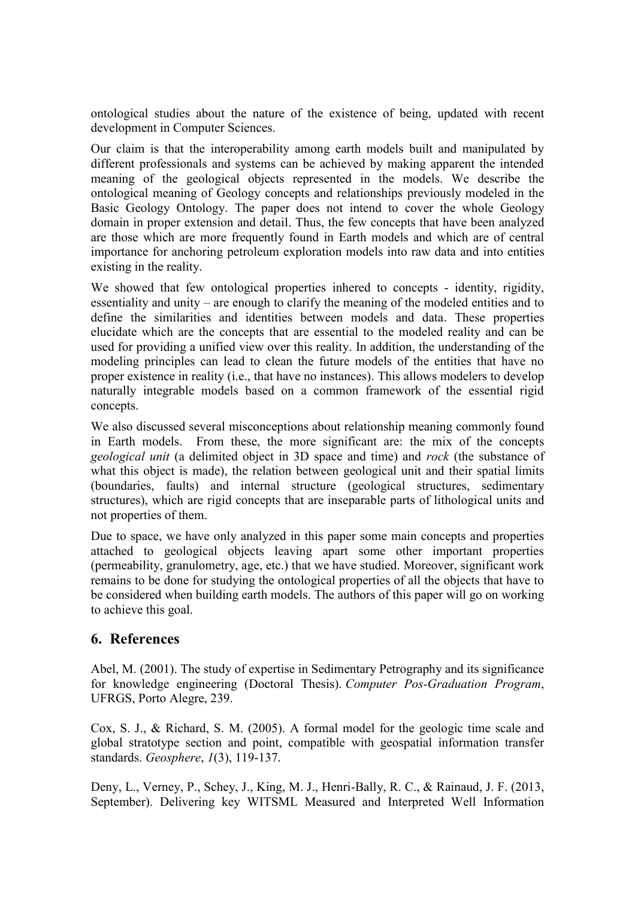ontological studies about the nature of the existence of being, updated with recent development in Computer Sciences.

Our claim is that the interoperability among earth models built and manipulated by different professionals and systems can be achieved by making apparent the intended meaning of the geological objects represented in the models. We describe the ontological meaning of Geology concepts and relationships previously modeled in the Basic Geology Ontology. The paper does not intend to cover the whole Geology domain in proper extension and detail. Thus, the few concepts that have been analyzed are those which are more frequently found in Earth models and which are of central importance for anchoring petroleum exploration models into raw data and into entities existing in the reality.

We showed that few ontological properties inhered to concepts - identity, rigidity, essentiality and unity – are enough to clarify the meaning of the modeled entities and to define the similarities and identities between models and data. These properties elucidate which are the concepts that are essential to the modeled reality and can be used for providing a unified view over this reality. In addition, the understanding of the modeling principles can lead to clean the future models of the entities that have no proper existence in reality (i.e., that have no instances). This allows modelers to develop naturally integrable models based on a common framework of the essential rigid concepts.

We also discussed several misconceptions about relationship meaning commonly found in Earth models. From these, the more significant are: the mix of the concepts *geological unit* (a delimited object in 3D space and time) and *rock* (the substance of what this object is made), the relation between geological unit and their spatial limits (boundaries, faults) and internal structure (geological structures, sedimentary structures), which are rigid concepts that are inseparable parts of lithological units and not properties of them.

Due to space, we have only analyzed in this paper some main concepts and properties attached to geological objects leaving apart some other important properties (permeability, granulometry, age, etc.) that we have studied. Moreover, significant work remains to be done for studying the ontological properties of all the objects that have to be considered when building earth models. The authors of this paper will go on working to achieve this goal.

### **6. References**

<span id="page-17-0"></span>Abel, M. (2001). The study of expertise in Sedimentary Petrography and its significance for knowledge engineering (Doctoral Thesis). *Computer Pos-Graduation Program*, UFRGS, Porto Alegre, 239.

<span id="page-17-1"></span>Cox, S. J., & Richard, S. M. (2005). A formal model for the geologic time scale and global stratotype section and point, compatible with geospatial information transfer standards. *Geosphere*, *1*(3), 119-137.

Deny, L., Verney, P., Schey, J., King, M. J., Henri-Bally, R. C., & Rainaud, J. F. (2013, September). Delivering key WITSML Measured and Interpreted Well Information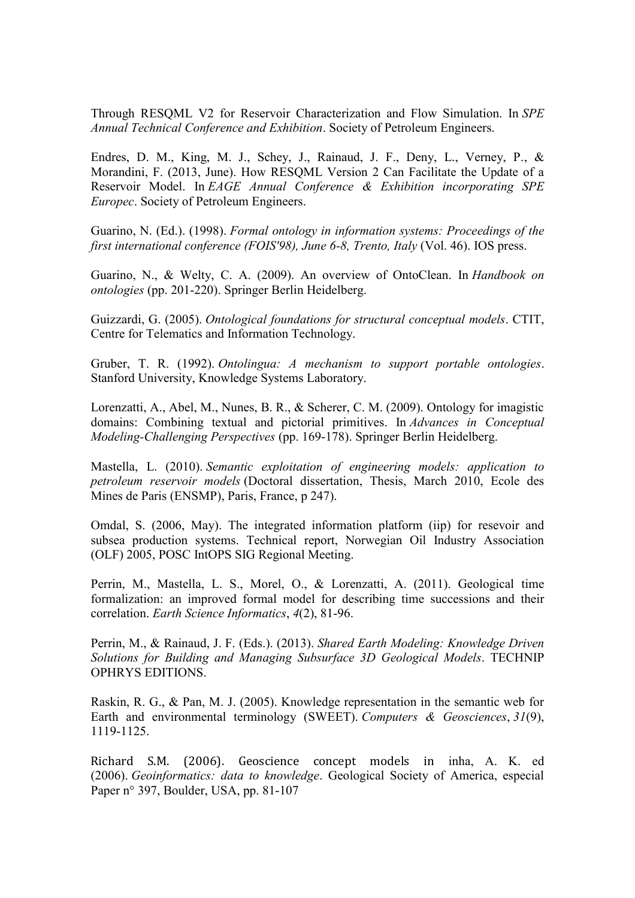Through RESQML V2 for Reservoir Characterization and Flow Simulation. In *SPE Annual Technical Conference and Exhibition*. Society of Petroleum Engineers.

Endres, D. M., King, M. J., Schey, J., Rainaud, J. F., Deny, L., Verney, P., & Morandini, F. (2013, June). How RESQML Version 2 Can Facilitate the Update of a Reservoir Model. In *EAGE Annual Conference & Exhibition incorporating SPE Europec*. Society of Petroleum Engineers.

<span id="page-18-2"></span>Guarino, N. (Ed.). (1998). *Formal ontology in information systems: Proceedings of the first international conference (FOIS'98), June 6-8, Trento, Italy* (Vol. 46). IOS press.

<span id="page-18-3"></span>Guarino, N., & Welty, C. A. (2009). An overview of OntoClean. In *Handbook on ontologies* (pp. 201-220). Springer Berlin Heidelberg.

<span id="page-18-9"></span>Guizzardi, G. (2005). *Ontological foundations for structural conceptual models*. CTIT, Centre for Telematics and Information Technology.

<span id="page-18-1"></span>Gruber, T. R. (1992). *Ontolingua: A mechanism to support portable ontologies*. Stanford University, Knowledge Systems Laboratory.

<span id="page-18-7"></span>Lorenzatti, A., Abel, M., Nunes, B. R., & Scherer, C. M. (2009). Ontology for imagistic domains: Combining textual and pictorial primitives. In *Advances in Conceptual Modeling-Challenging Perspectives* (pp. 169-178). Springer Berlin Heidelberg.

<span id="page-18-0"></span>Mastella, L. (2010). *Semantic exploitation of engineering models: application to petroleum reservoir models* (Doctoral dissertation, Thesis, March 2010, Ecole des Mines de Paris (ENSMP), Paris, France, p 247).

<span id="page-18-5"></span>Omdal, S. (2006, May). The integrated information platform (iip) for resevoir and subsea production systems. Technical report, Norwegian Oil Industry Association (OLF) 2005, POSC IntOPS SIG Regional Meeting.

<span id="page-18-6"></span>Perrin, M., Mastella, L. S., Morel, O., & Lorenzatti, A. (2011). Geological time formalization: an improved formal model for describing time successions and their correlation. *Earth Science Informatics*, *4*(2), 81-96.

<span id="page-18-10"></span>Perrin, M., & Rainaud, J. F. (Eds.). (2013). *Shared Earth Modeling: Knowledge Driven Solutions for Building and Managing Subsurface 3D Geological Models*. TECHNIP OPHRYS EDITIONS.

<span id="page-18-8"></span>Raskin, R. G., & Pan, M. J. (2005). Knowledge representation in the semantic web for Earth and environmental terminology (SWEET). *Computers & Geosciences*, *31*(9), 1119-1125.

<span id="page-18-4"></span>Richard S.M. (2006). Geoscience concept models in inha, A. K. ed (2006). *Geoinformatics: data to knowledge*. Geological Society of America, especial Paper n° 397, Boulder, USA, pp. 81-107